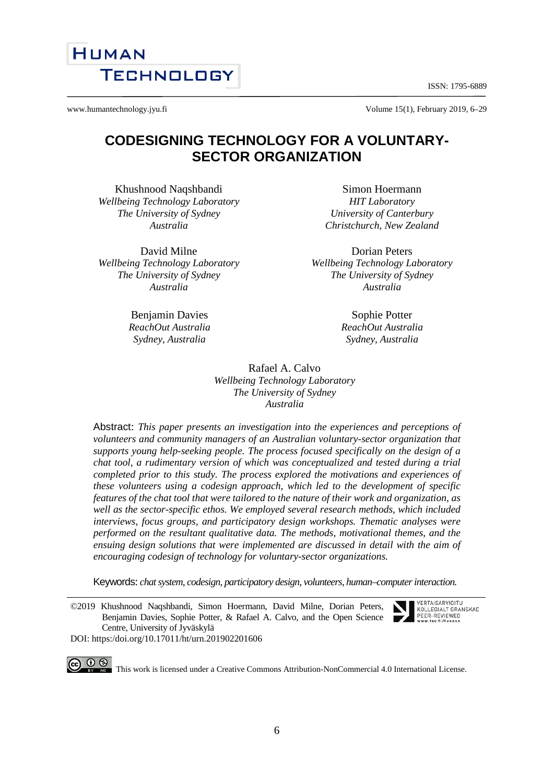6

ISSN: 1795-6889

www.humantechnology.jyu.fi <br>
Volume 15(1), February 2019, 6–29

# **CODESIGNING TECHNOLOGY FOR A VOLUNTARY-SECTOR ORGANIZATION**

Khushnood Naqshbandi *Wellbeing Technology Laboratory The University of Sydney Australia*

David Milne *Wellbeing Technology Laboratory The University of Sydney Australia*

> Benjamin Davies *ReachOut Australia Sydney, Australia*

Simon Hoermann *HIT Laboratory University of Canterbury Christchurch, New Zealand*

Dorian Peters *Wellbeing Technology Laboratory The University of Sydney Australia*

> Sophie Potter *ReachOut Australia Sydney, Australia*

Rafael A. Calvo *Wellbeing Technology Laboratory The University of Sydney Australia*

Abstract: *This paper presents an investigation into the experiences and perceptions of volunteers and community managers of an Australian voluntary-sector organization that supports young help-seeking people. The process focused specifically on the design of a chat tool, a rudimentary version of which was conceptualized and tested during a trial completed prior to this study. The process explored the motivations and experiences of these volunteers using a codesign approach, which led to the development of specific features of the chat tool that were tailored to the nature of their work and organization, as well as the sector-specific ethos. We employed several research methods, which included interviews, focus groups, and participatory design workshops. Thematic analyses were performed on the resultant qualitative data. The methods, motivational themes, and the ensuing design solutions that were implemented are discussed in detail with the aim of encouraging codesign of technology for voluntary-sector organizations.*

Keywords: *chat system, codesign, participatory design, volunteers, human–computer interaction.* 

©2019 Khushnood Naqshbandi, Simon Hoermann, David Milne, Dorian Peters, Benjamin Davies, Sophie Potter, & Rafael A. Calvo, and the Open Science Centre, University of Jyväskylä DOI: https:/doi.org/10.17011/ht/urn.201902201606

CO  $\bigcirc$   $\bigcirc$   $\bigcirc$   $\bigcirc$  This work is licensed under a Creative Commons Attribution-NonCommercial 4.0 International License.



VERTAISARVIOITU KOLL EGIALT GRANSKAD PEER-REVIEWED

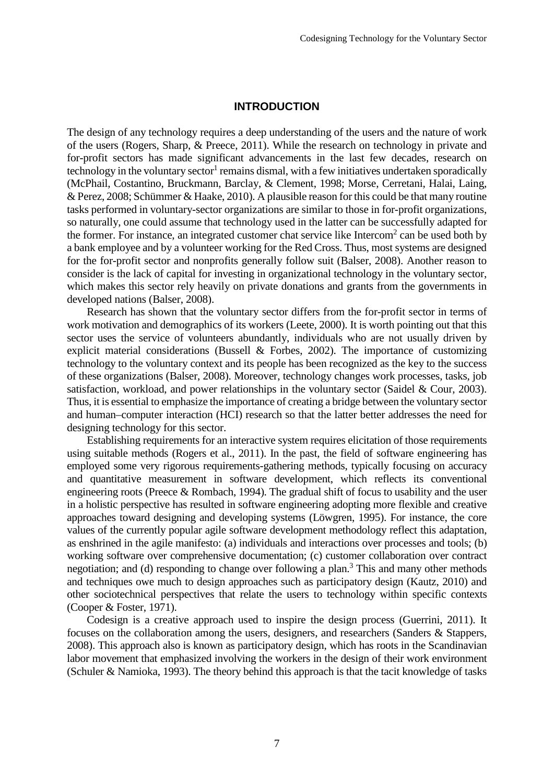#### **INTRODUCTION**

The design of any technology requires a deep understanding of the users and the nature of work of the users (Rogers, Sharp, & Preece, 2011). While the research on technology in private and for-profit sectors has made significant advancements in the last few decades, research on technology in the voluntary sector<sup>1</sup> remains dismal, with a few initiatives undertaken sporadically (McPhail, Costantino, Bruckmann, Barclay, & Clement, 1998; Morse, Cerretani, Halai, Laing, & Perez, 2008; Schümmer & Haake, 2010). A plausible reason for this could be that many routine tasks performed in voluntary-sector organizations are similar to those in for-profit organizations, so naturally, one could assume that technology used in the latter can be successfully adapted for the former. For instance, an integrated customer chat service like Intercom<sup>2</sup> can be used both by a bank employee and by a volunteer working for the Red Cross. Thus, most systems are designed for the for-profit sector and nonprofits generally follow suit (Balser, 2008). Another reason to consider is the lack of capital for investing in organizational technology in the voluntary sector, which makes this sector rely heavily on private donations and grants from the governments in developed nations (Balser, 2008).

Research has shown that the voluntary sector differs from the for-profit sector in terms of work motivation and demographics of its workers (Leete, 2000). It is worth pointing out that this sector uses the service of volunteers abundantly, individuals who are not usually driven by explicit material considerations (Bussell  $\&$  Forbes, 2002). The importance of customizing technology to the voluntary context and its people has been recognized as the key to the success of these organizations (Balser, 2008). Moreover, technology changes work processes, tasks, job satisfaction, workload, and power relationships in the voluntary sector (Saidel & Cour, 2003). Thus, it is essential to emphasize the importance of creating a bridge between the voluntary sector and human–computer interaction (HCI) research so that the latter better addresses the need for designing technology for this sector.

Establishing requirements for an interactive system requires elicitation of those requirements using suitable methods (Rogers et al., 2011). In the past, the field of software engineering has employed some very rigorous requirements-gathering methods, typically focusing on accuracy and quantitative measurement in software development, which reflects its conventional engineering roots (Preece & Rombach, 1994). The gradual shift of focus to usability and the user in a holistic perspective has resulted in software engineering adopting more flexible and creative approaches toward designing and developing systems (Löwgren, 1995). For instance, the core values of the currently popular agile software development methodology reflect this adaptation, as enshrined in the agile manifesto: (a) individuals and interactions over processes and tools; (b) working software over comprehensive documentation; (c) customer collaboration over contract negotiation; and (d) responding to change over following a plan.<sup>3</sup> This and many other methods and techniques owe much to design approaches such as participatory design (Kautz, 2010) and other sociotechnical perspectives that relate the users to technology within specific contexts (Cooper & Foster, 1971).

Codesign is a creative approach used to inspire the design process (Guerrini, 2011). It focuses on the collaboration among the users, designers, and researchers (Sanders & Stappers, 2008). This approach also is known as participatory design, which has roots in the Scandinavian labor movement that emphasized involving the workers in the design of their work environment (Schuler & Namioka, 1993). The theory behind this approach is that the tacit knowledge of tasks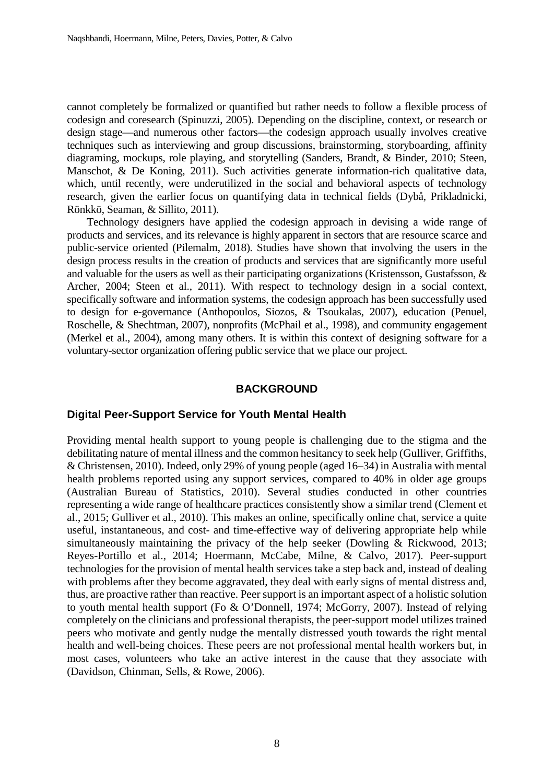cannot completely be formalized or quantified but rather needs to follow a flexible process of codesign and coresearch (Spinuzzi, 2005). Depending on the discipline, context, or research or design stage—and numerous other factors—the codesign approach usually involves creative techniques such as interviewing and group discussions, brainstorming, storyboarding, affinity diagraming, mockups, role playing, and storytelling (Sanders, Brandt, & Binder, 2010; Steen, Manschot, & De Koning, 2011). Such activities generate information-rich qualitative data, which, until recently, were underutilized in the social and behavioral aspects of technology research, given the earlier focus on quantifying data in technical fields (Dybå, Prikladnicki, Rönkkö, Seaman, & Sillito, 2011).

Technology designers have applied the codesign approach in devising a wide range of products and services, and its relevance is highly apparent in sectors that are resource scarce and public-service oriented (Pilemalm, 2018). Studies have shown that involving the users in the design process results in the creation of products and services that are significantly more useful and valuable for the users as well as their participating organizations (Kristensson, Gustafsson, & Archer, 2004; Steen et al., 2011). With respect to technology design in a social context, specifically software and information systems, the codesign approach has been successfully used to design for e-governance (Anthopoulos, Siozos, & Tsoukalas, 2007), education (Penuel, Roschelle, & Shechtman, 2007), nonprofits (McPhail et al., 1998), and community engagement (Merkel et al., 2004), among many others. It is within this context of designing software for a voluntary-sector organization offering public service that we place our project.

#### **BACKGROUND**

#### **Digital Peer-Support Service for Youth Mental Health**

Providing mental health support to young people is challenging due to the stigma and the debilitating nature of mental illness and the common hesitancy to seek help (Gulliver, Griffiths, & Christensen, 2010). Indeed, only 29% of young people (aged 16–34) in Australia with mental health problems reported using any support services, compared to 40% in older age groups (Australian Bureau of Statistics, 2010). Several studies conducted in other countries representing a wide range of healthcare practices consistently show a similar trend (Clement et al., 2015; Gulliver et al., 2010). This makes an online, specifically online chat, service a quite useful, instantaneous, and cost- and time-effective way of delivering appropriate help while simultaneously maintaining the privacy of the help seeker (Dowling & Rickwood, 2013; Reyes-Portillo et al., 2014; Hoermann, McCabe, Milne, & Calvo, 2017). Peer-support technologies for the provision of mental health services take a step back and, instead of dealing with problems after they become aggravated, they deal with early signs of mental distress and, thus, are proactive rather than reactive. Peer support is an important aspect of a holistic solution to youth mental health support (Fo & O'Donnell, 1974; McGorry, 2007). Instead of relying completely on the clinicians and professional therapists, the peer-support model utilizes trained peers who motivate and gently nudge the mentally distressed youth towards the right mental health and well-being choices. These peers are not professional mental health workers but, in most cases, volunteers who take an active interest in the cause that they associate with (Davidson, Chinman, Sells, & Rowe, 2006).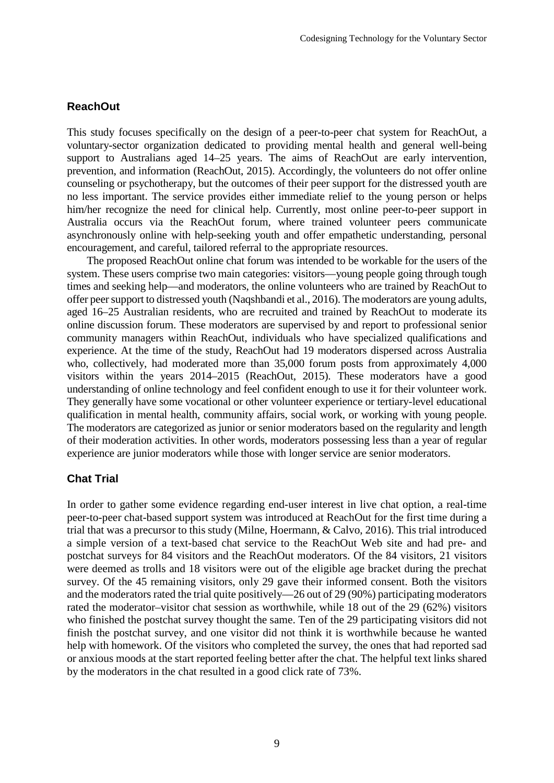#### **ReachOut**

This study focuses specifically on the design of a peer-to-peer chat system for ReachOut, a voluntary-sector organization dedicated to providing mental health and general well-being support to Australians aged 14–25 years. The aims of ReachOut are early intervention, prevention, and information (ReachOut, 2015). Accordingly, the volunteers do not offer online counseling or psychotherapy, but the outcomes of their peer support for the distressed youth are no less important. The service provides either immediate relief to the young person or helps him/her recognize the need for clinical help. Currently, most online peer-to-peer support in Australia occurs via the ReachOut forum, where trained volunteer peers communicate asynchronously online with help-seeking youth and offer empathetic understanding, personal encouragement, and careful, tailored referral to the appropriate resources.

The proposed ReachOut online chat forum was intended to be workable for the users of the system. These users comprise two main categories: visitors—young people going through tough times and seeking help—and moderators, the online volunteers who are trained by ReachOut to offer peer support to distressed youth (Naqshbandi et al., 2016). The moderators are young adults, aged 16–25 Australian residents, who are recruited and trained by ReachOut to moderate its online discussion forum. These moderators are supervised by and report to professional senior community managers within ReachOut, individuals who have specialized qualifications and experience. At the time of the study, ReachOut had 19 moderators dispersed across Australia who, collectively, had moderated more than 35,000 forum posts from approximately 4,000 visitors within the years 2014–2015 (ReachOut, 2015). These moderators have a good understanding of online technology and feel confident enough to use it for their volunteer work. They generally have some vocational or other volunteer experience or tertiary-level educational qualification in mental health, community affairs, social work, or working with young people. The moderators are categorized as junior or senior moderators based on the regularity and length of their moderation activities. In other words, moderators possessing less than a year of regular experience are junior moderators while those with longer service are senior moderators.

### **Chat Trial**

In order to gather some evidence regarding end-user interest in live chat option, a real-time peer-to-peer chat-based support system was introduced at ReachOut for the first time during a trial that was a precursor to this study (Milne, Hoermann, & Calvo, 2016). This trial introduced a simple version of a text-based chat service to the ReachOut Web site and had pre- and postchat surveys for 84 visitors and the ReachOut moderators. Of the 84 visitors, 21 visitors were deemed as trolls and 18 visitors were out of the eligible age bracket during the prechat survey. Of the 45 remaining visitors, only 29 gave their informed consent. Both the visitors and the moderators rated the trial quite positively—26 out of 29 (90%) participating moderators rated the moderator–visitor chat session as worthwhile, while 18 out of the 29 (62%) visitors who finished the postchat survey thought the same. Ten of the 29 participating visitors did not finish the postchat survey, and one visitor did not think it is worthwhile because he wanted help with homework. Of the visitors who completed the survey, the ones that had reported sad or anxious moods at the start reported feeling better after the chat. The helpful text links shared by the moderators in the chat resulted in a good click rate of 73%.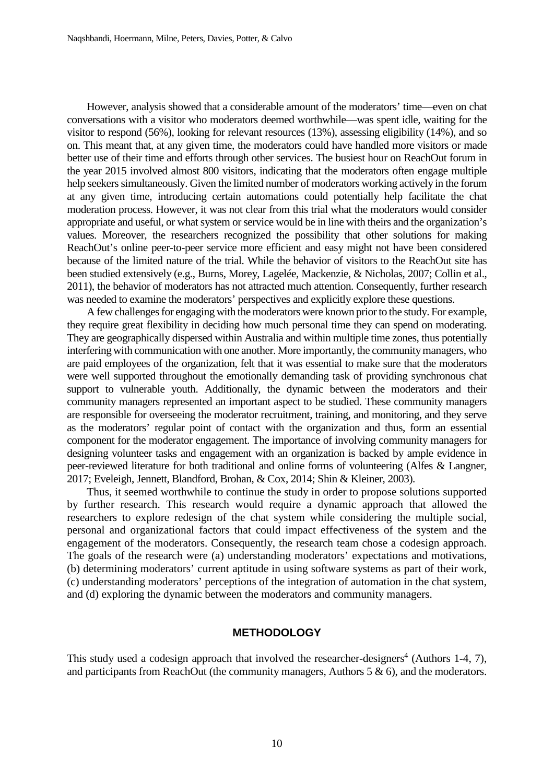However, analysis showed that a considerable amount of the moderators' time—even on chat conversations with a visitor who moderators deemed worthwhile—was spent idle, waiting for the visitor to respond (56%), looking for relevant resources (13%), assessing eligibility (14%), and so on. This meant that, at any given time, the moderators could have handled more visitors or made better use of their time and efforts through other services. The busiest hour on ReachOut forum in the year 2015 involved almost 800 visitors, indicating that the moderators often engage multiple help seekers simultaneously. Given the limited number of moderators working actively in the forum at any given time, introducing certain automations could potentially help facilitate the chat moderation process. However, it was not clear from this trial what the moderators would consider appropriate and useful, or what system or service would be in line with theirs and the organization's values. Moreover, the researchers recognized the possibility that other solutions for making ReachOut's online peer-to-peer service more efficient and easy might not have been considered because of the limited nature of the trial. While the behavior of visitors to the ReachOut site has been studied extensively (e.g., Burns, Morey, Lagelée, Mackenzie, & Nicholas, 2007; Collin et al., 2011), the behavior of moderators has not attracted much attention. Consequently, further research was needed to examine the moderators' perspectives and explicitly explore these questions.

A few challenges for engaging with the moderators were known prior to the study. For example, they require great flexibility in deciding how much personal time they can spend on moderating. They are geographically dispersed within Australia and within multiple time zones, thus potentially interfering with communication with one another. More importantly, the community managers, who are paid employees of the organization, felt that it was essential to make sure that the moderators were well supported throughout the emotionally demanding task of providing synchronous chat support to vulnerable youth. Additionally, the dynamic between the moderators and their community managers represented an important aspect to be studied. These community managers are responsible for overseeing the moderator recruitment, training, and monitoring, and they serve as the moderators' regular point of contact with the organization and thus, form an essential component for the moderator engagement. The importance of involving community managers for designing volunteer tasks and engagement with an organization is backed by ample evidence in peer-reviewed literature for both traditional and online forms of volunteering (Alfes & Langner, 2017; Eveleigh, Jennett, Blandford, Brohan, & Cox, 2014; Shin & Kleiner, 2003).

Thus, it seemed worthwhile to continue the study in order to propose solutions supported by further research. This research would require a dynamic approach that allowed the researchers to explore redesign of the chat system while considering the multiple social, personal and organizational factors that could impact effectiveness of the system and the engagement of the moderators. Consequently, the research team chose a codesign approach. The goals of the research were (a) understanding moderators' expectations and motivations, (b) determining moderators' current aptitude in using software systems as part of their work, (c) understanding moderators' perceptions of the integration of automation in the chat system, and (d) exploring the dynamic between the moderators and community managers.

#### **METHODOLOGY**

This study used a codesign approach that involved the researcher-designers<sup>4</sup> (Authors 1-4, 7), and participants from ReachOut (the community managers, Authors 5 & 6), and the moderators.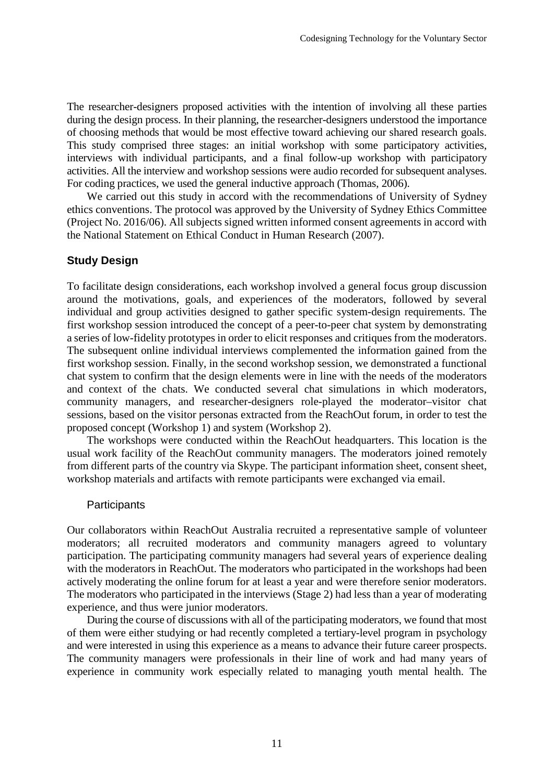The researcher-designers proposed activities with the intention of involving all these parties during the design process. In their planning, the researcher-designers understood the importance of choosing methods that would be most effective toward achieving our shared research goals. This study comprised three stages: an initial workshop with some participatory activities, interviews with individual participants, and a final follow-up workshop with participatory activities. All the interview and workshop sessions were audio recorded for subsequent analyses. For coding practices, we used the general inductive approach (Thomas, 2006).

We carried out this study in accord with the recommendations of University of Sydney ethics conventions. The protocol was approved by the University of Sydney Ethics Committee (Project No. 2016/06). All subjects signed written informed consent agreements in accord with the National Statement on Ethical Conduct in Human Research (2007).

# **Study Design**

To facilitate design considerations, each workshop involved a general focus group discussion around the motivations, goals, and experiences of the moderators, followed by several individual and group activities designed to gather specific system-design requirements. The first workshop session introduced the concept of a peer-to-peer chat system by demonstrating a series of low-fidelity prototypes in order to elicit responses and critiques from the moderators. The subsequent online individual interviews complemented the information gained from the first workshop session. Finally, in the second workshop session, we demonstrated a functional chat system to confirm that the design elements were in line with the needs of the moderators and context of the chats. We conducted several chat simulations in which moderators, community managers, and researcher-designers role-played the moderator–visitor chat sessions, based on the visitor personas extracted from the ReachOut forum, in order to test the proposed concept (Workshop 1) and system (Workshop 2).

The workshops were conducted within the ReachOut headquarters. This location is the usual work facility of the ReachOut community managers. The moderators joined remotely from different parts of the country via Skype. The participant information sheet, consent sheet, workshop materials and artifacts with remote participants were exchanged via email.

## **Participants**

Our collaborators within ReachOut Australia recruited a representative sample of volunteer moderators; all recruited moderators and community managers agreed to voluntary participation. The participating community managers had several years of experience dealing with the moderators in ReachOut. The moderators who participated in the workshops had been actively moderating the online forum for at least a year and were therefore senior moderators. The moderators who participated in the interviews (Stage 2) had less than a year of moderating experience, and thus were junior moderators.

During the course of discussions with all of the participating moderators, we found that most of them were either studying or had recently completed a tertiary-level program in psychology and were interested in using this experience as a means to advance their future career prospects. The community managers were professionals in their line of work and had many years of experience in community work especially related to managing youth mental health. The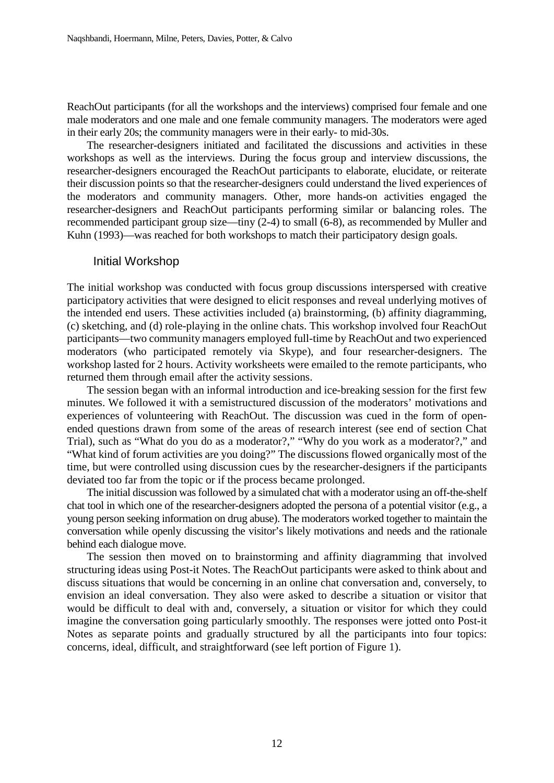ReachOut participants (for all the workshops and the interviews) comprised four female and one male moderators and one male and one female community managers. The moderators were aged in their early 20s; the community managers were in their early- to mid-30s.

The researcher-designers initiated and facilitated the discussions and activities in these workshops as well as the interviews. During the focus group and interview discussions, the researcher-designers encouraged the ReachOut participants to elaborate, elucidate, or reiterate their discussion points so that the researcher-designers could understand the lived experiences of the moderators and community managers. Other, more hands-on activities engaged the researcher-designers and ReachOut participants performing similar or balancing roles. The recommended participant group size—tiny (2-4) to small (6-8), as recommended by Muller and Kuhn (1993)—was reached for both workshops to match their participatory design goals.

#### Initial Workshop

The initial workshop was conducted with focus group discussions interspersed with creative participatory activities that were designed to elicit responses and reveal underlying motives of the intended end users. These activities included (a) brainstorming, (b) affinity diagramming, (c) sketching, and (d) role-playing in the online chats. This workshop involved four ReachOut participants—two community managers employed full-time by ReachOut and two experienced moderators (who participated remotely via Skype), and four researcher-designers. The workshop lasted for 2 hours. Activity worksheets were emailed to the remote participants, who returned them through email after the activity sessions.

The session began with an informal introduction and ice-breaking session for the first few minutes. We followed it with a semistructured discussion of the moderators' motivations and experiences of volunteering with ReachOut. The discussion was cued in the form of openended questions drawn from some of the areas of research interest (see end of section Chat Trial), such as "What do you do as a moderator?," "Why do you work as a moderator?," and "What kind of forum activities are you doing?" The discussions flowed organically most of the time, but were controlled using discussion cues by the researcher-designers if the participants deviated too far from the topic or if the process became prolonged.

The initial discussion was followed by a simulated chat with a moderator using an off-the-shelf chat tool in which one of the researcher-designers adopted the persona of a potential visitor (e.g., a young person seeking information on drug abuse). The moderators worked together to maintain the conversation while openly discussing the visitor's likely motivations and needs and the rationale behind each dialogue move.

The session then moved on to brainstorming and affinity diagramming that involved structuring ideas using Post-it Notes. The ReachOut participants were asked to think about and discuss situations that would be concerning in an online chat conversation and, conversely, to envision an ideal conversation. They also were asked to describe a situation or visitor that would be difficult to deal with and, conversely, a situation or visitor for which they could imagine the conversation going particularly smoothly. The responses were jotted onto Post-it Notes as separate points and gradually structured by all the participants into four topics: concerns, ideal, difficult, and straightforward (see left portion of Figure 1).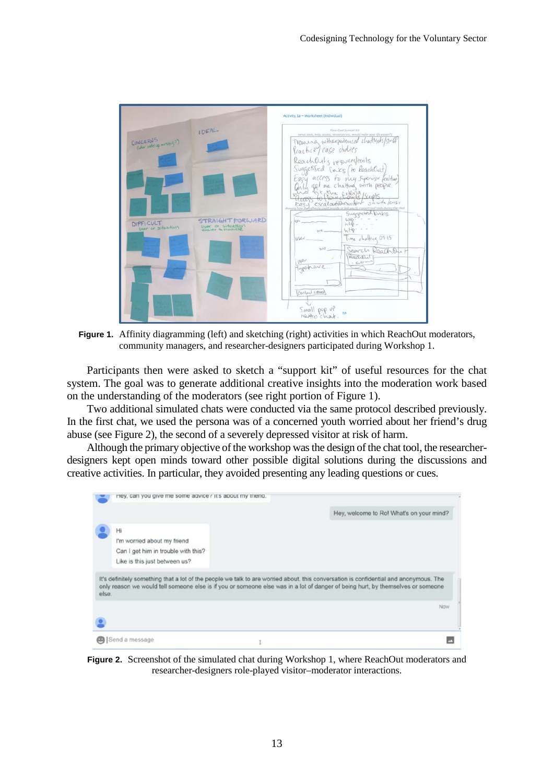

**Figure 1.** Affinity diagramming (left) and sketching (right) activities in which ReachOut moderators, community managers, and researcher-designers participated during Workshop 1.

Participants then were asked to sketch a "support kit" of useful resources for the chat system. The goal was to generate additional creative insights into the moderation work based on the understanding of the moderators (see right portion of Figure 1).

Two additional simulated chats were conducted via the same protocol described previously. In the first chat, we used the persona was of a concerned youth worried about her friend's drug abuse (see Figure 2), the second of a severely depressed visitor at risk of harm.

Although the primary objective of the workshop was the design of the chat tool, the researcherdesigners kept open minds toward other possible digital solutions during the discussions and creative activities. In particular, they avoided presenting any leading questions or cues.

| It's definitely something that a lot of the people we talk to are worried about, this conversation is confidential and anonymous. The<br>only reason we would tell someone else is if you or someone else was in a lot of danger of being hurt, by themselves or someone<br>else.<br>Now | Hi<br>I'm worried about my friend<br>Can I get him in trouble with this?<br>Like is this just between us? | Hey, welcome to Ro! What's on your mind? |
|------------------------------------------------------------------------------------------------------------------------------------------------------------------------------------------------------------------------------------------------------------------------------------------|-----------------------------------------------------------------------------------------------------------|------------------------------------------|
|                                                                                                                                                                                                                                                                                          |                                                                                                           |                                          |
|                                                                                                                                                                                                                                                                                          |                                                                                                           |                                          |

**Figure 2.** Screenshot of the simulated chat during Workshop 1, where ReachOut moderators and researcher-designers role-played visitor–moderator interactions.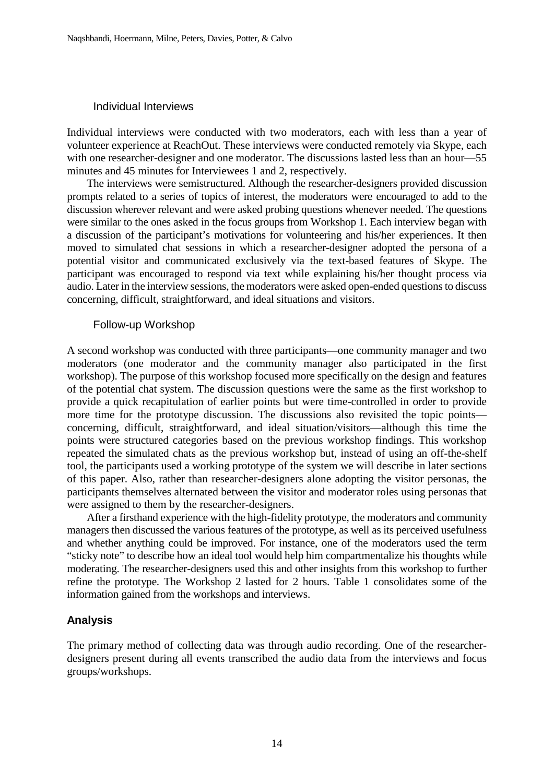### Individual Interviews

Individual interviews were conducted with two moderators, each with less than a year of volunteer experience at ReachOut. These interviews were conducted remotely via Skype, each with one researcher-designer and one moderator. The discussions lasted less than an hour—55 minutes and 45 minutes for Interviewees 1 and 2, respectively.

The interviews were semistructured. Although the researcher-designers provided discussion prompts related to a series of topics of interest, the moderators were encouraged to add to the discussion wherever relevant and were asked probing questions whenever needed. The questions were similar to the ones asked in the focus groups from Workshop 1. Each interview began with a discussion of the participant's motivations for volunteering and his/her experiences. It then moved to simulated chat sessions in which a researcher-designer adopted the persona of a potential visitor and communicated exclusively via the text-based features of Skype. The participant was encouraged to respond via text while explaining his/her thought process via audio. Later in the interview sessions, the moderators were asked open-ended questions to discuss concerning, difficult, straightforward, and ideal situations and visitors.

#### Follow-up Workshop

A second workshop was conducted with three participants—one community manager and two moderators (one moderator and the community manager also participated in the first workshop). The purpose of this workshop focused more specifically on the design and features of the potential chat system. The discussion questions were the same as the first workshop to provide a quick recapitulation of earlier points but were time-controlled in order to provide more time for the prototype discussion. The discussions also revisited the topic points concerning, difficult, straightforward, and ideal situation/visitors—although this time the points were structured categories based on the previous workshop findings. This workshop repeated the simulated chats as the previous workshop but, instead of using an off-the-shelf tool, the participants used a working prototype of the system we will describe in later sections of this paper. Also, rather than researcher-designers alone adopting the visitor personas, the participants themselves alternated between the visitor and moderator roles using personas that were assigned to them by the researcher-designers.

After a firsthand experience with the high-fidelity prototype, the moderators and community managers then discussed the various features of the prototype, as well as its perceived usefulness and whether anything could be improved. For instance, one of the moderators used the term "sticky note" to describe how an ideal tool would help him compartmentalize his thoughts while moderating. The researcher-designers used this and other insights from this workshop to further refine the prototype. The Workshop 2 lasted for 2 hours. Table 1 consolidates some of the information gained from the workshops and interviews.

## **Analysis**

The primary method of collecting data was through audio recording. One of the researcherdesigners present during all events transcribed the audio data from the interviews and focus groups/workshops.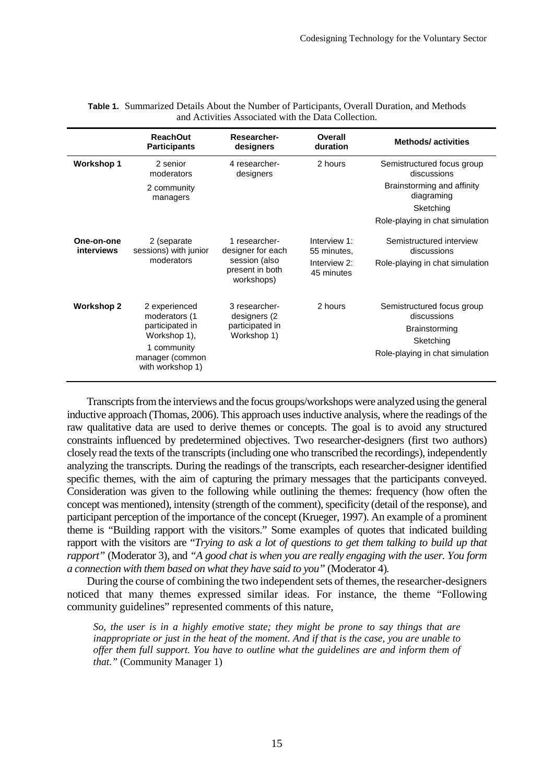|                          | <b>ReachOut</b><br><b>Participants</b>                                                                                  | Researcher-<br>designers                                                             | Overall<br>duration                                       | <b>Methods/activities</b>                                                                                         |
|--------------------------|-------------------------------------------------------------------------------------------------------------------------|--------------------------------------------------------------------------------------|-----------------------------------------------------------|-------------------------------------------------------------------------------------------------------------------|
| <b>Workshop 1</b>        | 2 senior<br>moderators<br>2 community<br>managers                                                                       | 4 researcher-<br>designers                                                           | 2 hours                                                   | Semistructured focus group<br>discussions<br>Brainstorming and affinity<br>diagraming                             |
|                          |                                                                                                                         |                                                                                      |                                                           | Sketching<br>Role-playing in chat simulation                                                                      |
| One-on-one<br>interviews | 2 (separate<br>sessions) with junior<br>moderators                                                                      | 1 researcher-<br>designer for each<br>session (also<br>present in both<br>workshops) | Interview 1:<br>55 minutes,<br>Interview 2:<br>45 minutes | Semistructured interview<br>discussions<br>Role-playing in chat simulation                                        |
| <b>Workshop 2</b>        | 2 experienced<br>moderators (1<br>participated in<br>Workshop 1),<br>1 community<br>manager (common<br>with workshop 1) | 3 researcher-<br>designers (2<br>participated in<br>Workshop 1)                      | 2 hours                                                   | Semistructured focus group<br>discussions<br><b>Brainstorming</b><br>Sketching<br>Role-playing in chat simulation |

| Table 1. Summarized Details About the Number of Participants, Overall Duration, and Methods |  |
|---------------------------------------------------------------------------------------------|--|
| and Activities Associated with the Data Collection.                                         |  |

Transcripts from the interviews and the focus groups/workshops were analyzed using the general inductive approach (Thomas, 2006). This approach uses inductive analysis, where the readings of the raw qualitative data are used to derive themes or concepts. The goal is to avoid any structured constraints influenced by predetermined objectives. Two researcher-designers (first two authors) closely read the texts of the transcripts (including one who transcribed the recordings), independently analyzing the transcripts. During the readings of the transcripts, each researcher-designer identified specific themes, with the aim of capturing the primary messages that the participants conveyed. Consideration was given to the following while outlining the themes: frequency (how often the concept was mentioned), intensity (strength of the comment), specificity (detail of the response), and participant perception of the importance of the concept (Krueger, 1997). An example of a prominent theme is "Building rapport with the visitors." Some examples of quotes that indicated building rapport with the visitors are "*Trying to ask a lot of questions to get them talking to build up that rapport"* (Moderator 3)*,* and *"A good chat is when you are really engaging with the user. You form a connection with them based on what they have said to you"* (Moderator 4)*.*

During the course of combining the two independent sets of themes, the researcher-designers noticed that many themes expressed similar ideas. For instance, the theme "Following community guidelines" represented comments of this nature,

*So, the user is in a highly emotive state; they might be prone to say things that are inappropriate or just in the heat of the moment. And if that is the case, you are unable to offer them full support. You have to outline what the guidelines are and inform them of that."* (Community Manager 1)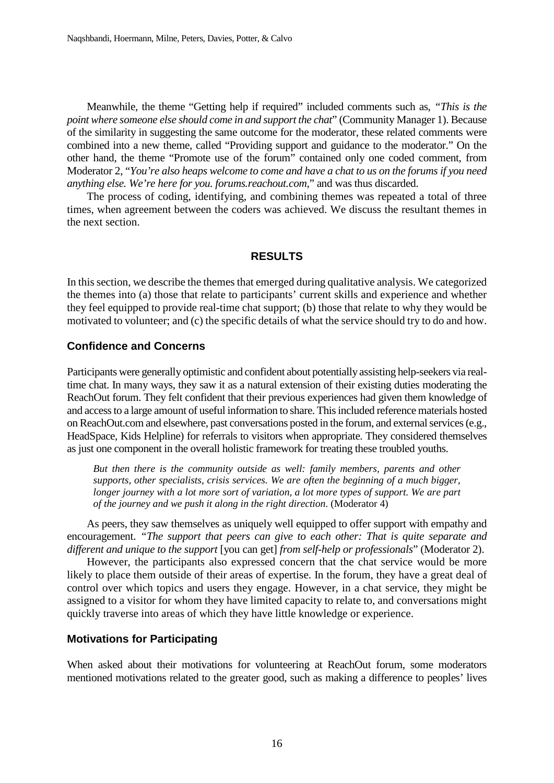Meanwhile, the theme "Getting help if required" included comments such as, *"This is the point where someone else should come in and support the chat*" (Community Manager 1). Because of the similarity in suggesting the same outcome for the moderator, these related comments were combined into a new theme, called "Providing support and guidance to the moderator." On the other hand, the theme "Promote use of the forum" contained only one coded comment, from Moderator 2, "*You're also heaps welcome to come and have a chat to us on the forums if you need anything else. We're here for you. forums.reachout.com,*" and was thus discarded.

The process of coding, identifying, and combining themes was repeated a total of three times, when agreement between the coders was achieved. We discuss the resultant themes in the next section.

#### **RESULTS**

In this section, we describe the themes that emerged during qualitative analysis. We categorized the themes into (a) those that relate to participants' current skills and experience and whether they feel equipped to provide real-time chat support; (b) those that relate to why they would be motivated to volunteer; and (c) the specific details of what the service should try to do and how.

### **Confidence and Concerns**

Participants were generally optimistic and confident about potentially assisting help-seekers via realtime chat. In many ways, they saw it as a natural extension of their existing duties moderating the ReachOut forum. They felt confident that their previous experiences had given them knowledge of and access to a large amount of useful information to share. This included reference materials hosted on ReachOut.com and elsewhere, past conversations posted in the forum, and external services (e.g., HeadSpace, Kids Helpline) for referrals to visitors when appropriate. They considered themselves as just one component in the overall holistic framework for treating these troubled youths.

*But then there is the community outside as well: family members, parents and other supports, other specialists, crisis services. We are often the beginning of a much bigger, longer journey with a lot more sort of variation, a lot more types of support. We are part of the journey and we push it along in the right direction*. (Moderator 4)

As peers, they saw themselves as uniquely well equipped to offer support with empathy and encouragement. *"The support that peers can give to each other: That is quite separate and different and unique to the support* [you can get] *from self-help or professionals*" (Moderator 2).

However, the participants also expressed concern that the chat service would be more likely to place them outside of their areas of expertise. In the forum, they have a great deal of control over which topics and users they engage. However, in a chat service, they might be assigned to a visitor for whom they have limited capacity to relate to, and conversations might quickly traverse into areas of which they have little knowledge or experience.

#### **Motivations for Participating**

When asked about their motivations for volunteering at ReachOut forum, some moderators mentioned motivations related to the greater good, such as making a difference to peoples' lives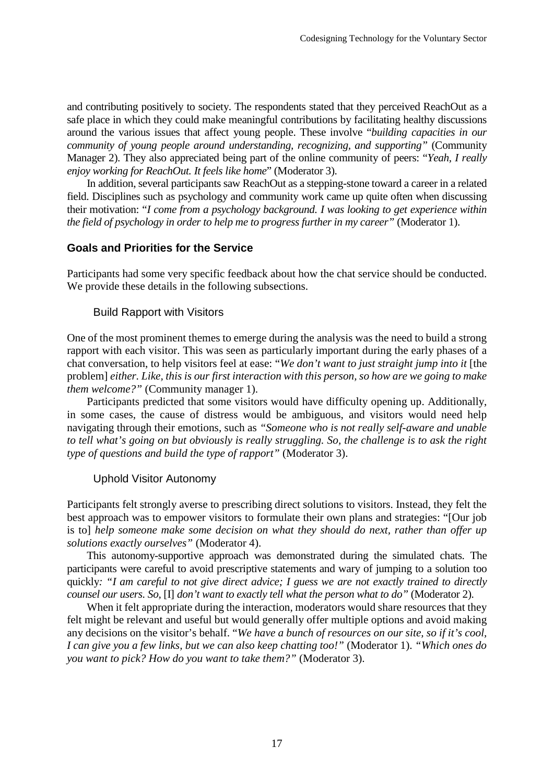and contributing positively to society. The respondents stated that they perceived ReachOut as a safe place in which they could make meaningful contributions by facilitating healthy discussions around the various issues that affect young people. These involve "*building capacities in our community of young people around understanding, recognizing, and supporting"* (Community Manager 2). They also appreciated being part of the online community of peers: "*Yeah, I really enjoy working for ReachOut. It feels like home*" (Moderator 3).

In addition, several participants saw ReachOut as a stepping-stone toward a career in a related field. Disciplines such as psychology and community work came up quite often when discussing their motivation: "*I come from a psychology background. I was looking to get experience within the field of psychology in order to help me to progress further in my career"* (Moderator 1).

# **Goals and Priorities for the Service**

Participants had some very specific feedback about how the chat service should be conducted. We provide these details in the following subsections.

#### Build Rapport with Visitors

One of the most prominent themes to emerge during the analysis was the need to build a strong rapport with each visitor. This was seen as particularly important during the early phases of a chat conversation, to help visitors feel at ease: "*We don't want to just straight jump into it* [the problem] *either. Like, this is our first interaction with this person, so how are we going to make them welcome?"* (Community manager 1).

Participants predicted that some visitors would have difficulty opening up. Additionally, in some cases, the cause of distress would be ambiguous, and visitors would need help navigating through their emotions, such as *"Someone who is not really self-aware and unable to tell what's going on but obviously is really struggling. So, the challenge is to ask the right type of questions and build the type of rapport"* (Moderator 3).

#### Uphold Visitor Autonomy

Participants felt strongly averse to prescribing direct solutions to visitors. Instead, they felt the best approach was to empower visitors to formulate their own plans and strategies: "[Our job is to] *help someone make some decision on what they should do next, rather than offer up solutions exactly ourselves"* (Moderator 4).

This autonomy-supportive approach was demonstrated during the simulated chats. The participants were careful to avoid prescriptive statements and wary of jumping to a solution too quickly*: "I am careful to not give direct advice; I guess we are not exactly trained to directly counsel our users. So,* [I] *don't want to exactly tell what the person what to do"* (Moderator 2).

When it felt appropriate during the interaction, moderators would share resources that they felt might be relevant and useful but would generally offer multiple options and avoid making any decisions on the visitor's behalf. "*We have a bunch of resources on our site, so if it's cool, I can give you a few links, but we can also keep chatting too!"* (Moderator 1). *"Which ones do you want to pick? How do you want to take them?"* (Moderator 3).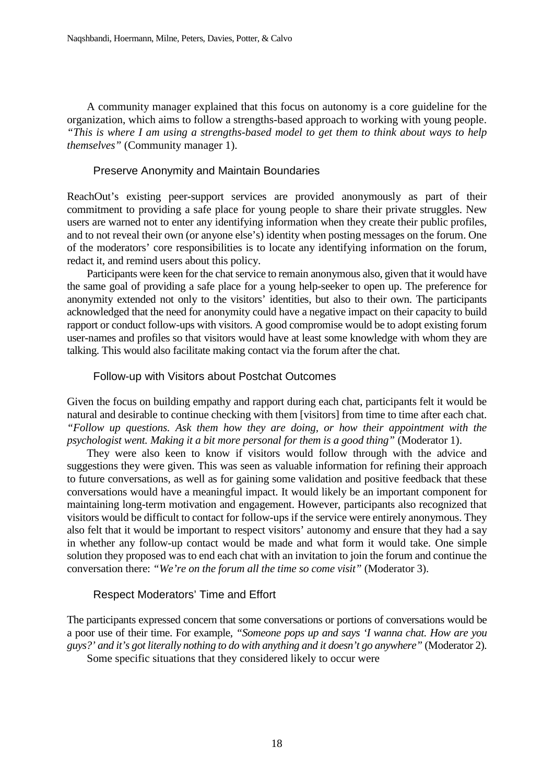A community manager explained that this focus on autonomy is a core guideline for the organization, which aims to follow a strengths-based approach to working with young people. *"This is where I am using a strengths-based model to get them to think about ways to help themselves"* (Community manager 1).

# Preserve Anonymity and Maintain Boundaries

ReachOut's existing peer-support services are provided anonymously as part of their commitment to providing a safe place for young people to share their private struggles. New users are warned not to enter any identifying information when they create their public profiles, and to not reveal their own (or anyone else's) identity when posting messages on the forum. One of the moderators' core responsibilities is to locate any identifying information on the forum, redact it, and remind users about this policy.

Participants were keen for the chat service to remain anonymous also, given that it would have the same goal of providing a safe place for a young help-seeker to open up. The preference for anonymity extended not only to the visitors' identities, but also to their own. The participants acknowledged that the need for anonymity could have a negative impact on their capacity to build rapport or conduct follow-ups with visitors. A good compromise would be to adopt existing forum user-names and profiles so that visitors would have at least some knowledge with whom they are talking. This would also facilitate making contact via the forum after the chat.

## Follow-up with Visitors about Postchat Outcomes

Given the focus on building empathy and rapport during each chat, participants felt it would be natural and desirable to continue checking with them [visitors] from time to time after each chat. *"Follow up questions. Ask them how they are doing, or how their appointment with the psychologist went. Making it a bit more personal for them is a good thing"* (Moderator 1).

They were also keen to know if visitors would follow through with the advice and suggestions they were given. This was seen as valuable information for refining their approach to future conversations, as well as for gaining some validation and positive feedback that these conversations would have a meaningful impact. It would likely be an important component for maintaining long-term motivation and engagement. However, participants also recognized that visitors would be difficult to contact for follow-ups if the service were entirely anonymous. They also felt that it would be important to respect visitors' autonomy and ensure that they had a say in whether any follow-up contact would be made and what form it would take. One simple solution they proposed was to end each chat with an invitation to join the forum and continue the conversation there: *"We're on the forum all the time so come visit"* (Moderator 3).

## Respect Moderators' Time and Effort

The participants expressed concern that some conversations or portions of conversations would be a poor use of their time. For example, *"Someone pops up and says 'I wanna chat. How are you guys?' and it's got literally nothing to do with anything and it doesn't go anywhere"* (Moderator 2). Some specific situations that they considered likely to occur were

18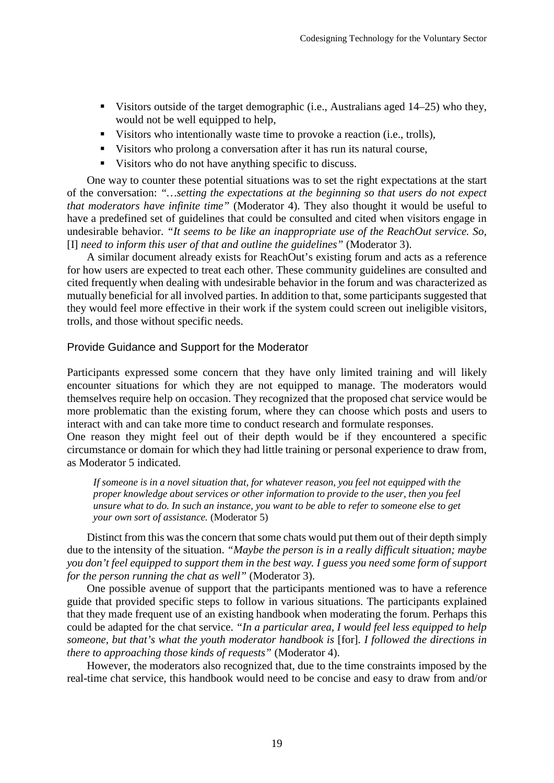- Visitors outside of the target demographic (i.e., Australians aged  $14-25$ ) who they, would not be well equipped to help,
- Visitors who intentionally waste time to provoke a reaction (i.e., trolls),
- Visitors who prolong a conversation after it has run its natural course,
- Visitors who do not have anything specific to discuss.

One way to counter these potential situations was to set the right expectations at the start of the conversation: *"…setting the expectations at the beginning so that users do not expect that moderators have infinite time"* (Moderator 4). They also thought it would be useful to have a predefined set of guidelines that could be consulted and cited when visitors engage in undesirable behavior. *"It seems to be like an inappropriate use of the ReachOut service. So,*  [I] *need to inform this user of that and outline the guidelines"* (Moderator 3).

A similar document already exists for ReachOut's existing forum and acts as a reference for how users are expected to treat each other. These community guidelines are consulted and cited frequently when dealing with undesirable behavior in the forum and was characterized as mutually beneficial for all involved parties. In addition to that, some participants suggested that they would feel more effective in their work if the system could screen out ineligible visitors, trolls, and those without specific needs.

# Provide Guidance and Support for the Moderator

Participants expressed some concern that they have only limited training and will likely encounter situations for which they are not equipped to manage. The moderators would themselves require help on occasion. They recognized that the proposed chat service would be more problematic than the existing forum, where they can choose which posts and users to interact with and can take more time to conduct research and formulate responses.

One reason they might feel out of their depth would be if they encountered a specific circumstance or domain for which they had little training or personal experience to draw from, as Moderator 5 indicated.

*If someone is in a novel situation that, for whatever reason, you feel not equipped with the proper knowledge about services or other information to provide to the user, then you feel unsure what to do. In such an instance, you want to be able to refer to someone else to get your own sort of assistance.* (Moderator 5)

Distinct from this was the concern that some chats would put them out of their depth simply due to the intensity of the situation. *"Maybe the person is in a really difficult situation; maybe you don't feel equipped to support them in the best way. I guess you need some form of support for the person running the chat as well"* (Moderator 3).

One possible avenue of support that the participants mentioned was to have a reference guide that provided specific steps to follow in various situations. The participants explained that they made frequent use of an existing handbook when moderating the forum. Perhaps this could be adapted for the chat service. *"In a particular area, I would feel less equipped to help someone, but that's what the youth moderator handbook is* [for]*. I followed the directions in there to approaching those kinds of requests"* (Moderator 4).

However, the moderators also recognized that, due to the time constraints imposed by the real-time chat service, this handbook would need to be concise and easy to draw from and/or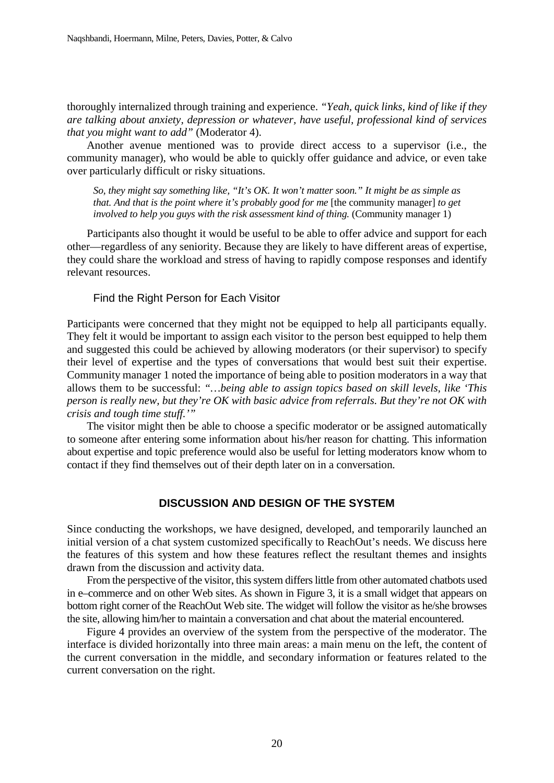thoroughly internalized through training and experience. *"Yeah, quick links, kind of like if they are talking about anxiety, depression or whatever, have useful, professional kind of services that you might want to add"* (Moderator 4).

Another avenue mentioned was to provide direct access to a supervisor (i.e., the community manager), who would be able to quickly offer guidance and advice, or even take over particularly difficult or risky situations.

*So, they might say something like, "It's OK. It won't matter soon." It might be as simple as that. And that is the point where it's probably good for me [the community manager] to get involved to help you guys with the risk assessment kind of thing.* (Community manager 1)

Participants also thought it would be useful to be able to offer advice and support for each other—regardless of any seniority. Because they are likely to have different areas of expertise, they could share the workload and stress of having to rapidly compose responses and identify relevant resources.

#### Find the Right Person for Each Visitor

Participants were concerned that they might not be equipped to help all participants equally. They felt it would be important to assign each visitor to the person best equipped to help them and suggested this could be achieved by allowing moderators (or their supervisor) to specify their level of expertise and the types of conversations that would best suit their expertise. Community manager 1 noted the importance of being able to position moderators in a way that allows them to be successful: *"…being able to assign topics based on skill levels, like 'This person is really new, but they're OK with basic advice from referrals. But they're not OK with crisis and tough time stuff.'"*

The visitor might then be able to choose a specific moderator or be assigned automatically to someone after entering some information about his/her reason for chatting. This information about expertise and topic preference would also be useful for letting moderators know whom to contact if they find themselves out of their depth later on in a conversation.

## **DISCUSSION AND DESIGN OF THE SYSTEM**

Since conducting the workshops, we have designed, developed, and temporarily launched an initial version of a chat system customized specifically to ReachOut's needs. We discuss here the features of this system and how these features reflect the resultant themes and insights drawn from the discussion and activity data.

From the perspective of the visitor, this system differs little from other automated chatbots used in e–commerce and on other Web sites. As shown in Figure 3, it is a small widget that appears on bottom right corner of the ReachOut Web site. The widget will follow the visitor as he/she browses the site, allowing him/her to maintain a conversation and chat about the material encountered.

Figure 4 provides an overview of the system from the perspective of the moderator. The interface is divided horizontally into three main areas: a main menu on the left, the content of the current conversation in the middle, and secondary information or features related to the current conversation on the right.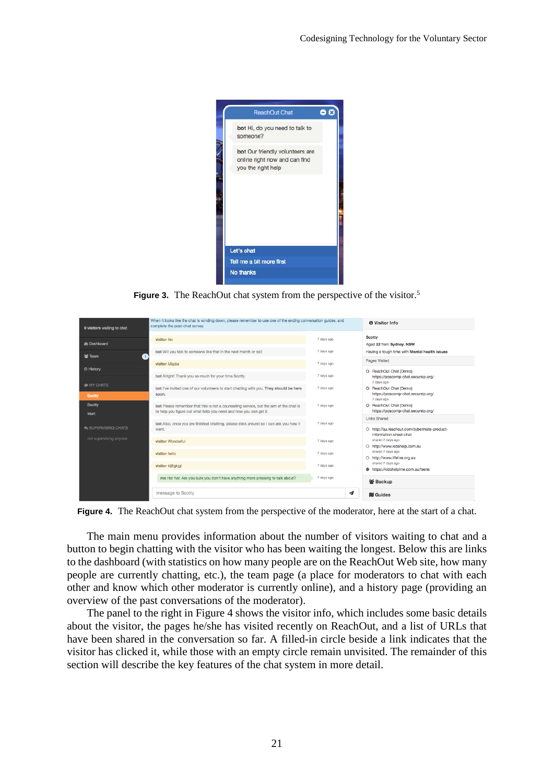

**Figure 3.** The ReachOut chat system from the perspective of the visitor.<sup>5</sup>

| 0 visitors waiting to chat | When it looks like the chat is winding down, please remember to use one of the ending conversation guides, and<br>complete the post-chat survey.            |            | <b>O</b> Visitor Info                                                       |
|----------------------------|-------------------------------------------------------------------------------------------------------------------------------------------------------------|------------|-----------------------------------------------------------------------------|
| <b>&amp; Dashboard</b>     | visitor No                                                                                                                                                  | 7 days ago | <b>Scotty</b><br>Aged 22 from Sydney, NSW                                   |
| 을 Team<br>【 1              | bot Will you talk to someone like that in the next month or so?                                                                                             | 7 days ago | Having a tough time with Mental health issues                               |
|                            | visitor Maybe                                                                                                                                               | 7 days ago | <b>Pages Visited</b>                                                        |
| © History                  | bot Alright! Thank you so much for your time Scotty.                                                                                                        | 7 days ago | O ReachOut Chat (Demo)<br>https://poscomp-chat.secureip.org/<br>7 days ago  |
| <b>MY CHATS</b><br>Scotty  | bot I've invited one of our volunteers to start chatting with you. They should be here<br>soon.                                                             | 7 days ago | O ReachOut Chat (Demo)<br>https://poscomp-chat.secureip.org/<br>7 days ago  |
| <b>Scotty</b><br>Matt      | bot Please remember that this is not a counselling service, but the aim of the chat is<br>to help you figure out what help you need and how you can get it. | 7 days ago | O ReachOut Chat (Demo)<br>https://poscomp-chat.secureip.org/                |
| SUPERVISING CHATS          | bot Also, once you are finished chatting, please stick around so I can ask you how it<br>went.                                                              | 7 days ago | <b>Links Shared</b><br>O http://au.reachout.com/cvbermate-product-          |
| not supervising anyone     | visitor Wonderful                                                                                                                                           | 7 days ago | information-sheet-chat<br>shared 7 days ago<br>O http://www.kidshelp.com.au |
|                            | visitor hello                                                                                                                                               | 7 days ago | shared 7 days ago<br>O http://www.lifeline.org.au                           |
|                            | visitor kljflgkjgl                                                                                                                                          | 7 days ago | shared 7 days ago<br>https://kidshelpline.com.au/teens                      |
|                            | me Har har. Are you sure you don't have anything more pressing to talk about?                                                                               | 7 days ago | 을 Backup                                                                    |
|                            | message to Scotty                                                                                                                                           | -1         | <b>M</b> Guides                                                             |

**Figure 4.** The ReachOut chat system from the perspective of the moderator, here at the start of a chat.

The main menu provides information about the number of visitors waiting to chat and a button to begin chatting with the visitor who has been waiting the longest. Below this are links to the dashboard (with statistics on how many people are on the ReachOut Web site, how many people are currently chatting, etc.), the team page (a place for moderators to chat with each other and know which other moderator is currently online), and a history page (providing an overview of the past conversations of the moderator).

The panel to the right in Figure 4 shows the visitor info, which includes some basic details about the visitor, the pages he/she has visited recently on ReachOut, and a list of URLs that have been shared in the conversation so far. A filled-in circle beside a link indicates that the visitor has clicked it, while those with an empty circle remain unvisited. The remainder of this section will describe the key features of the chat system in more detail.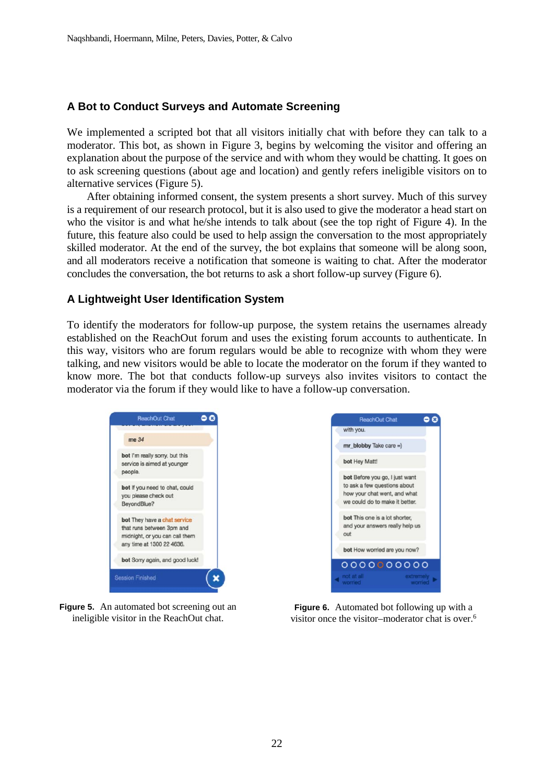# **A Bot to Conduct Surveys and Automate Screening**

We implemented a scripted bot that all visitors initially chat with before they can talk to a moderator. This bot, as shown in Figure 3, begins by welcoming the visitor and offering an explanation about the purpose of the service and with whom they would be chatting. It goes on to ask screening questions (about age and location) and gently refers ineligible visitors on to alternative services (Figure 5).

After obtaining informed consent, the system presents a short survey. Much of this survey is a requirement of our research protocol, but it is also used to give the moderator a head start on who the visitor is and what he/she intends to talk about (see the top right of Figure 4). In the future, this feature also could be used to help assign the conversation to the most appropriately skilled moderator. At the end of the survey, the bot explains that someone will be along soon, and all moderators receive a notification that someone is waiting to chat. After the moderator concludes the conversation, the bot returns to ask a short follow-up survey (Figure 6).

# **A Lightweight User Identification System**

To identify the moderators for follow-up purpose, the system retains the usernames already established on the ReachOut forum and uses the existing forum accounts to authenticate. In this way, visitors who are forum regulars would be able to recognize with whom they were talking, and new visitors would be able to locate the moderator on the forum if they wanted to know more. The bot that conducts follow-up surveys also invites visitors to contact the moderator via the forum if they would like to have a follow-up conversation.





**Figure 5.** An automated bot screening out an ineligible visitor in the ReachOut chat.

**Figure 6.** Automated bot following up with a visitor once the visitor–moderator chat is over.6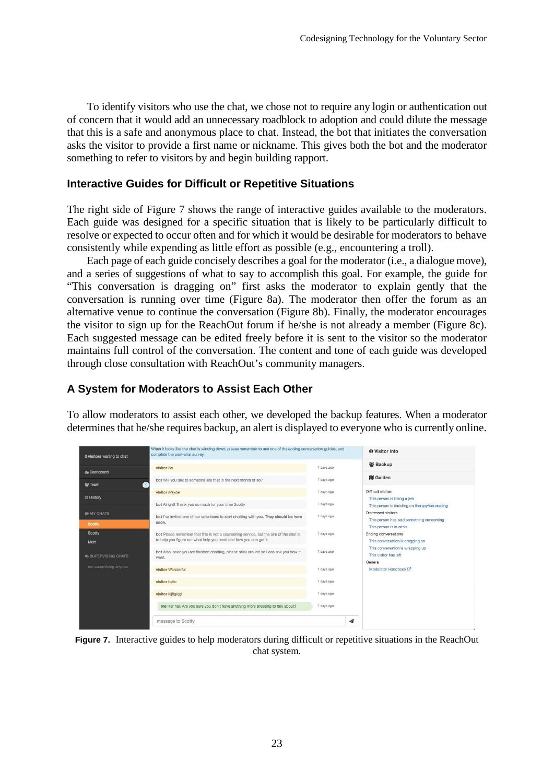To identify visitors who use the chat, we chose not to require any login or authentication out of concern that it would add an unnecessary roadblock to adoption and could dilute the message that this is a safe and anonymous place to chat. Instead, the bot that initiates the conversation asks the visitor to provide a first name or nickname. This gives both the bot and the moderator something to refer to visitors by and begin building rapport.

# **Interactive Guides for Difficult or Repetitive Situations**

The right side of Figure 7 shows the range of interactive guides available to the moderators. Each guide was designed for a specific situation that is likely to be particularly difficult to resolve or expected to occur often and for which it would be desirable for moderators to behave consistently while expending as little effort as possible (e.g., encountering a troll).

Each page of each guide concisely describes a goal for the moderator (i.e., a dialogue move), and a series of suggestions of what to say to accomplish this goal. For example, the guide for "This conversation is dragging on" first asks the moderator to explain gently that the conversation is running over time (Figure 8a). The moderator then offer the forum as an alternative venue to continue the conversation (Figure 8b). Finally, the moderator encourages the visitor to sign up for the ReachOut forum if he/she is not already a member (Figure 8c). Each suggested message can be edited freely before it is sent to the visitor so the moderator maintains full control of the conversation. The content and tone of each guide was developed through close consultation with ReachOut's community managers.

# **A System for Moderators to Assist Each Other**

To allow moderators to assist each other, we developed the backup features. When a moderator determines that he/she requires backup, an alert is displayed to everyone who is currently online.

|                                  |                                                                                                                                                             |            | 을 Backup                                                                             |
|----------------------------------|-------------------------------------------------------------------------------------------------------------------------------------------------------------|------------|--------------------------------------------------------------------------------------|
| de Dashboard                     | visitor No                                                                                                                                                  | 7 days ago |                                                                                      |
| 警 Team<br>$\mathbf{1}$           | bot Will you talk to someone like that in the next month or so?                                                                                             | 7 days ago | <b>III</b> Guides                                                                    |
|                                  | visitor Maybe                                                                                                                                               | 7 days ago | <b>Difficult visitors</b>                                                            |
| <b>O</b> History                 | bot Alright! Thank you so much for your time Scotty.                                                                                                        | 7 days ago | This person is being a jerk<br>This person is insisting on therapy/counseling        |
| <b>MY CHATS</b><br><b>Scotty</b> | bot I've invited one of our volunteers to start chatting with you. They should be here<br>soon.                                                             | 7 days ago | Distressed visitors<br>This person has said something concerning                     |
| Scotty<br>Matt                   | bot Please remember that this is not a counselling service, but the aim of the chat is<br>to help you figure out what help you need and how you can get it. | 7 days ago | This person is in crisis<br>Ending conversations<br>This conversation is dragging on |
| SUPERVISING CHATS                | bot Also, once you are finished chatting, please stick around so I can ask you how it<br>went.                                                              | 7 days ago | This conversation is wrapping up<br>This visitor has left<br>General                 |
| not supervising anyone           | visitor Wonderful                                                                                                                                           | 7 days ago | Moderator Handbook <sup>7</sup>                                                      |
|                                  | visitor helio                                                                                                                                               | 7 days ago |                                                                                      |
|                                  | visitor kljfigkjgl                                                                                                                                          | 7 days ago |                                                                                      |
|                                  | me Har har. Are you sure you don't have anything more pressing to talk about?                                                                               | 7 days ago |                                                                                      |

**Figure 7.** Interactive guides to help moderators during difficult or repetitive situations in the ReachOut chat system.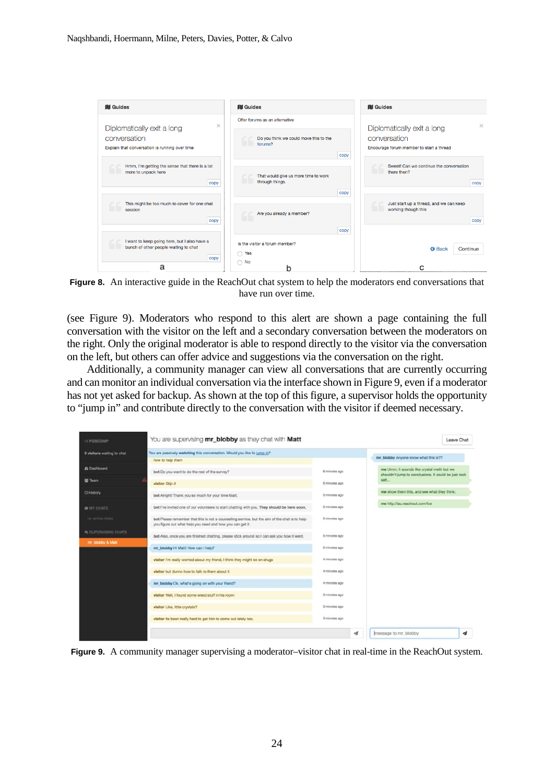

**Figure 8.** An interactive guide in the ReachOut chat system to help the moderators end conversations that have run over time.

(see Figure 9). Moderators who respond to this alert are shown a page containing the full conversation with the visitor on the left and a secondary conversation between the moderators on the right. Only the original moderator is able to respond directly to the visitor via the conversation on the left, but others can offer advice and suggestions via the conversation on the right.

Additionally, a community manager can view all conversations that are currently occurring and can monitor an individual conversation via the interface shown in Figure 9, even if a moderator has not yet asked for backup. As shown at the top of this figure, a supervisor holds the opportunity to "jump in" and contribute directly to the conversation with the visitor if deemed necessary.

| 0 visitors waiting to chat | You are passively watching this conversation. Would you like to jump in?                                                                                    |               |                                                                                                    |
|----------------------------|-------------------------------------------------------------------------------------------------------------------------------------------------------------|---------------|----------------------------------------------------------------------------------------------------|
|                            | how to help them                                                                                                                                            |               | mr blobby Anyone know what this is??                                                               |
| <b>@</b> Dashboard         | bot Do you want to do the rest of the survey?                                                                                                               | 6 minutes ago | me Umm, it sounds like crystal meth but we<br>shouldn't jump to conclusions. It could be just rock |
| <b>M</b> Team              | visitor Skip it                                                                                                                                             | 5 minutes ago | salt.                                                                                              |
| C History                  | bot Airight! Thank you so much for your time Matt.                                                                                                          | 5 minutes ago | me show them this, and see what they think:                                                        |
| <b>@ MY CHATS</b>          | bot I've invited one of our volunteers to start chatting with you. They should be here soon.                                                                | 5 minutes ago | me http://au.reachout.com/ce                                                                       |
| no active chats            | bot Please remember that this is not a counselling service, but the aim of the chat is to help<br>you figure out what help you need and how you can get it. | 5 minutes ago |                                                                                                    |
| <b>BUPERVISING CHATS</b>   | bot Also, once you are finished chatting, please stick around so I can ask you how it went.                                                                 | 5 minutes ago |                                                                                                    |
| mr blobby & Matt           | mr_blobby Hi Matt! How can I help?                                                                                                                          | 5 minutes ago |                                                                                                    |
|                            | visitor I'm really worried about my friend, I think they might be on drugs                                                                                  | 4 minutes ago |                                                                                                    |
|                            | visitor but dunno how to talk to them about it.                                                                                                             | 4 minutes ago |                                                                                                    |
|                            | mr_blobby Ok, what's going on with your friend?                                                                                                             | 4 minutes ago |                                                                                                    |
|                            | visitor Well, I found some wierd stuff in his room                                                                                                          | oga astunim 6 |                                                                                                    |
|                            | visitor Like, little crystals?                                                                                                                              | 3 minutes ago |                                                                                                    |
|                            | visitor its been really hard to get him to come out lately too.                                                                                             | 3 minutes ago |                                                                                                    |

**Figure 9.** A community manager supervising a moderator–visitor chat in real-time in the ReachOut system.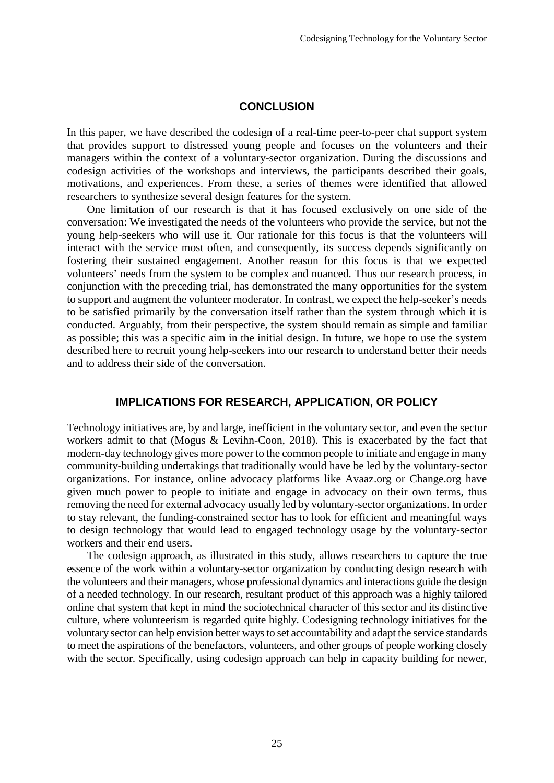### **CONCLUSION**

In this paper, we have described the codesign of a real-time peer-to-peer chat support system that provides support to distressed young people and focuses on the volunteers and their managers within the context of a voluntary-sector organization. During the discussions and codesign activities of the workshops and interviews, the participants described their goals, motivations, and experiences. From these, a series of themes were identified that allowed researchers to synthesize several design features for the system.

One limitation of our research is that it has focused exclusively on one side of the conversation: We investigated the needs of the volunteers who provide the service, but not the young help-seekers who will use it. Our rationale for this focus is that the volunteers will interact with the service most often, and consequently, its success depends significantly on fostering their sustained engagement. Another reason for this focus is that we expected volunteers' needs from the system to be complex and nuanced. Thus our research process, in conjunction with the preceding trial, has demonstrated the many opportunities for the system to support and augment the volunteer moderator. In contrast, we expect the help-seeker's needs to be satisfied primarily by the conversation itself rather than the system through which it is conducted. Arguably, from their perspective, the system should remain as simple and familiar as possible; this was a specific aim in the initial design. In future, we hope to use the system described here to recruit young help-seekers into our research to understand better their needs and to address their side of the conversation.

# **IMPLICATIONS FOR RESEARCH, APPLICATION, OR POLICY**

Technology initiatives are, by and large, inefficient in the voluntary sector, and even the sector workers admit to that (Mogus & Levihn-Coon, 2018). This is exacerbated by the fact that modern-day technology gives more power to the common people to initiate and engage in many community-building undertakings that traditionally would have be led by the voluntary-sector organizations. For instance, online advocacy platforms like Avaaz.org or Change.org have given much power to people to initiate and engage in advocacy on their own terms, thus removing the need for external advocacy usually led by voluntary-sector organizations. In order to stay relevant, the funding-constrained sector has to look for efficient and meaningful ways to design technology that would lead to engaged technology usage by the voluntary-sector workers and their end users.

The codesign approach, as illustrated in this study, allows researchers to capture the true essence of the work within a voluntary-sector organization by conducting design research with the volunteers and their managers, whose professional dynamics and interactions guide the design of a needed technology. In our research, resultant product of this approach was a highly tailored online chat system that kept in mind the sociotechnical character of this sector and its distinctive culture, where volunteerism is regarded quite highly. Codesigning technology initiatives for the voluntary sector can help envision better ways to set accountability and adapt the service standards to meet the aspirations of the benefactors, volunteers, and other groups of people working closely with the sector. Specifically, using codesign approach can help in capacity building for newer,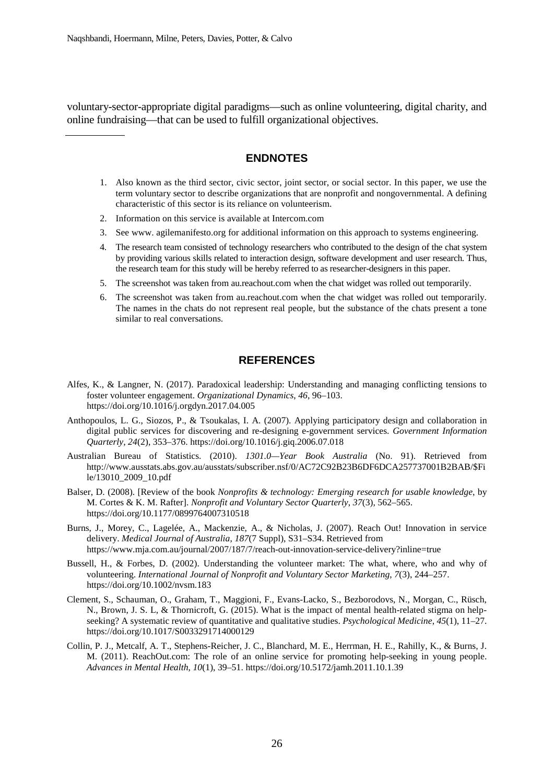voluntary-sector-appropriate digital paradigms—such as online volunteering, digital charity, and online fundraising—that can be used to fulfill organizational objectives.

# **ENDNOTES**

- 1. Also known as the third sector, civic sector, joint sector, or social sector. In this paper, we use the term voluntary sector to describe organizations that are nonprofit and nongovernmental. A defining characteristic of this sector is its reliance on volunteerism.
- 2. Information on this service is available at Intercom.com
- 3. See www. agilemanifesto.org for additional information on this approach to systems engineering.
- 4. The research team consisted of technology researchers who contributed to the design of the chat system by providing various skills related to interaction design, software development and user research. Thus, the research team for this study will be hereby referred to as researcher-designers in this paper.
- 5. The screenshot was taken from au.reachout.com when the chat widget was rolled out temporarily.
- 6. The screenshot was taken from au.reachout.com when the chat widget was rolled out temporarily. The names in the chats do not represent real people, but the substance of the chats present a tone similar to real conversations.

#### **REFERENCES**

- Alfes, K., & Langner, N. (2017). Paradoxical leadership: Understanding and managing conflicting tensions to foster volunteer engagement. *Organizational Dynamics*, *46*, 96–103. https://doi.org/10.1016/j.orgdyn.2017.04.005
- Anthopoulos, L. G., Siozos, P., & Tsoukalas, I. A. (2007). Applying participatory design and collaboration in digital public services for discovering and re-designing e-government services. *Government Information Quarterly*, *24*(2), 353–376. https://doi.org/10.1016/j.giq.2006.07.018
- Australian Bureau of Statistics. (2010). *1301.0—Year Book Australia* (No. 91). Retrieved from http://www.ausstats.abs.gov.au/ausstats/subscriber.nsf/0/AC72C92B23B6DF6DCA257737001B2BAB/\$Fi le/13010\_2009\_10.pdf
- Balser, D. (2008). [Review of the book *Nonprofits & technology: Emerging research for usable knowledge*, by M. Cortes & K. M. Rafter]. *Nonprofit and Voluntary Sector Quarterly*, *37*(3), 562–565. https://doi.org/10.1177/0899764007310518
- Burns, J., Morey, C., Lagelée, A., Mackenzie, A., & Nicholas, J. (2007). Reach Out! Innovation in service delivery. *Medical Journal of Australia*, *187*(7 Suppl), S31–S34. Retrieved from https://www.mja.com.au/journal/2007/187/7/reach-out-innovation-service-delivery?inline=true
- Bussell, H., & Forbes, D. (2002). Understanding the volunteer market: The what, where, who and why of volunteering. *International Journal of Nonprofit and Voluntary Sector Marketing*, *7*(3), 244–257. https://doi.org/10.1002/nvsm.183
- Clement, S., Schauman, O., Graham, T., Maggioni, F., Evans-Lacko, S., Bezborodovs, N., Morgan, C., Rüsch, N., Brown, J. S. L, & Thornicroft, G. (2015). What is the impact of mental health-related stigma on helpseeking? A systematic review of quantitative and qualitative studies. *Psychological Medicine*, *45*(1), 11–27. https://doi.org/10.1017/S0033291714000129
- Collin, P. J., Metcalf, A. T., Stephens-Reicher, J. C., Blanchard, M. E., Herrman, H. E., Rahilly, K., & Burns, J. M. (2011). ReachOut.com: The role of an online service for promoting help-seeking in young people. *Advances in Mental Health*, *10*(1), 39–51. https://doi.org/10.5172/jamh.2011.10.1.39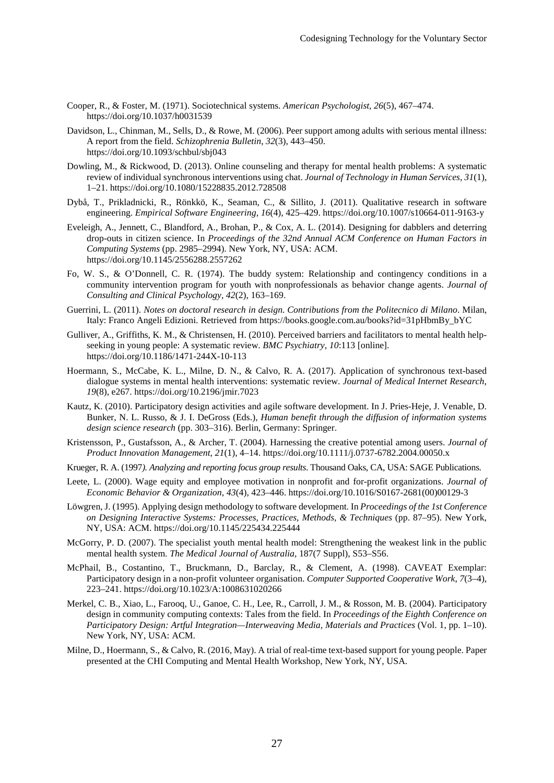- Cooper, R., & Foster, M. (1971). Sociotechnical systems. *American Psychologist*, *26*(5), 467–474. https://doi.org/10.1037/h0031539
- Davidson, L., Chinman, M., Sells, D., & Rowe, M. (2006). Peer support among adults with serious mental illness: A report from the field. *Schizophrenia Bulletin*, *32*(3), 443–450. https://doi.org/10.1093/schbul/sbj043
- Dowling, M., & Rickwood, D. (2013). Online counseling and therapy for mental health problems: A systematic review of individual synchronous interventions using chat. *Journal of Technology in Human Services*, *31*(1), 1–21. https://doi.org/10.1080/15228835.2012.728508
- Dybå, T., Prikladnicki, R., Rönkkö, K., Seaman, C., & Sillito, J. (2011). Qualitative research in software engineering. *Empirical Software Engineering*, *16*(4), 425–429. https://doi.org/10.1007/s10664-011-9163-y
- Eveleigh, A., Jennett, C., Blandford, A., Brohan, P., & Cox, A. L. (2014). Designing for dabblers and deterring drop-outs in citizen science. In *Proceedings of the 32nd Annual ACM Conference on Human Factors in Computing Systems* (pp. 2985–2994). New York, NY, USA: ACM. https://doi.org/10.1145/2556288.2557262
- Fo, W. S., & O'Donnell, C. R. (1974). The buddy system: Relationship and contingency conditions in a community intervention program for youth with nonprofessionals as behavior change agents. *Journal of Consulting and Clinical Psychology*, *42*(2), 163–169.
- Guerrini, L. (2011). *Notes on doctoral research in design. Contributions from the Politecnico di Milano*. Milan, Italy: Franco Angeli Edizioni. Retrieved from https://books.google.com.au/books?id=31pHbmBy\_bYC
- Gulliver, A., Griffiths, K. M., & Christensen, H. (2010). Perceived barriers and facilitators to mental health helpseeking in young people: A systematic review. *BMC Psychiatry*, *10*:113 [online]. https://doi.org/10.1186/1471-244X-10-113
- Hoermann, S., McCabe, K. L., Milne, D. N., & Calvo, R. A. (2017). Application of synchronous text-based dialogue systems in mental health interventions: systematic review. *Journal of Medical Internet Research*, *19*(8), e267. https://doi.org/10.2196/jmir.7023
- Kautz, K. (2010). Participatory design activities and agile software development. In J. Pries-Heje, J. Venable, D. Bunker, N. L. Russo, & J. I. DeGross (Eds.), *Human benefit through the diffusion of information systems design science research* (pp. 303–316). Berlin, Germany: Springer.
- Kristensson, P., Gustafsson, A., & Archer, T. (2004). Harnessing the creative potential among users. *Journal of Product Innovation Management*, *21*(1), 4–14. https://doi.org/10.1111/j.0737-6782.2004.00050.x
- Krueger, R. A. (1997*). Analyzing and reporting focus group results*. Thousand Oaks, CA, USA: SAGE Publications.
- Leete, L. (2000). Wage equity and employee motivation in nonprofit and for-profit organizations. *Journal of Economic Behavior & Organization*, *43*(4), 423–446. https://doi.org/10.1016/S0167-2681(00)00129-3
- Löwgren, J. (1995). Applying design methodology to software development. In *Proceedings of the 1st Conference on Designing Interactive Systems: Processes, Practices, Methods, & Techniques* (pp. 87–95). New York, NY, USA: ACM. https://doi.org/10.1145/225434.225444
- McGorry, P. D. (2007). The specialist youth mental health model: Strengthening the weakest link in the public mental health system. *The Medical Journal of Australia*, 187(7 Suppl), S53–S56.
- McPhail, B., Costantino, T., Bruckmann, D., Barclay, R., & Clement, A. (1998). CAVEAT Exemplar: Participatory design in a non-profit volunteer organisation. *Computer Supported Cooperative Work*, *7*(3–4), 223–241. https://doi.org/10.1023/A:1008631020266
- Merkel, C. B., Xiao, L., Farooq, U., Ganoe, C. H., Lee, R., Carroll, J. M., & Rosson, M. B. (2004). Participatory design in community computing contexts: Tales from the field. In *Proceedings of the Eighth Conference on Participatory Design: Artful Integration—Interweaving Media, Materials and Practices* (Vol. 1, pp. 1–10). New York, NY, USA: ACM.
- Milne, D., Hoermann, S., & Calvo, R. (2016, May). A trial of real-time text-based support for young people. Paper presented at the CHI Computing and Mental Health Workshop, New York, NY, USA.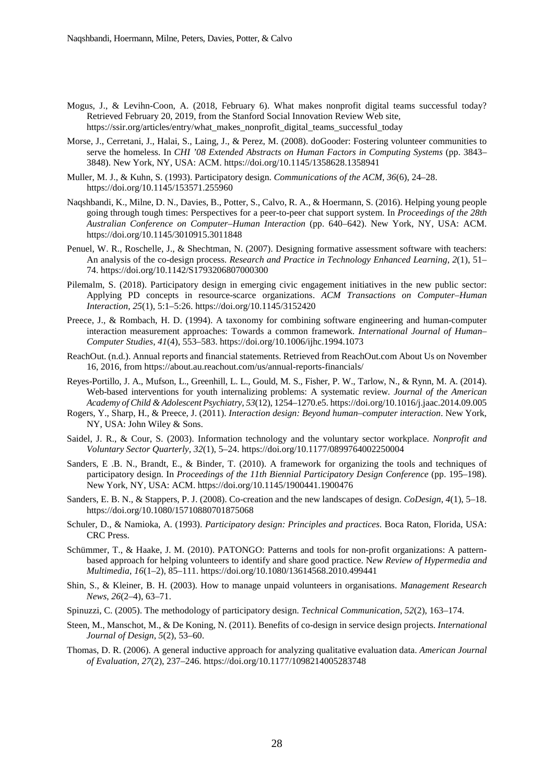- Mogus, J., & Levihn-Coon, A. (2018, February 6). What makes nonprofit digital teams successful today? Retrieved February 20, 2019, from the Stanford Social Innovation Review Web site, https://ssir.org/articles/entry/what\_makes\_nonprofit\_digital\_teams\_successful\_today
- Morse, J., Cerretani, J., Halai, S., Laing, J., & Perez, M. (2008). doGooder: Fostering volunteer communities to serve the homeless. In *CHI '08 Extended Abstracts on Human Factors in Computing Systems* (pp. 3843– 3848). New York, NY, USA: ACM. https://doi.org/10.1145/1358628.1358941
- Muller, M. J., & Kuhn, S. (1993). Participatory design. *Communications of the ACM*, *36*(6), 24–28. https://doi.org/10.1145/153571.255960
- Naqshbandi, K., Milne, D. N., Davies, B., Potter, S., Calvo, R. A., & Hoermann, S. (2016). Helping young people going through tough times: Perspectives for a peer-to-peer chat support system. In *Proceedings of the 28th Australian Conference on Computer*–*Human Interaction* (pp. 640–642). New York, NY, USA: ACM. https://doi.org/10.1145/3010915.3011848
- Penuel, W. R., Roschelle, J., & Shechtman, N. (2007). Designing formative assessment software with teachers: An analysis of the co-design process. *Research and Practice in Technology Enhanced Learning*, *2*(1), 51– 74. https://doi.org/10.1142/S1793206807000300
- Pilemalm, S. (2018). Participatory design in emerging civic engagement initiatives in the new public sector: Applying PD concepts in resource-scarce organizations. *ACM Transactions on Computer–Human Interaction*, *25*(1), 5:1–5:26. https://doi.org/10.1145/3152420
- Preece, J., & Rombach, H. D. (1994). A taxonomy for combining software engineering and human-computer interaction measurement approaches: Towards a common framework. *International Journal of Human*– *Computer Studies*, *41*(4), 553–583. https://doi.org/10.1006/ijhc.1994.1073
- ReachOut. (n.d.). Annual reports and financial statements. Retrieved from ReachOut.com About Us on November 16, 2016, from https://about.au.reachout.com/us/annual-reports-financials/
- Reyes-Portillo, J. A., Mufson, L., Greenhill, L. L., Gould, M. S., Fisher, P. W., Tarlow, N., & Rynn, M. A. (2014). Web-based interventions for youth internalizing problems: A systematic review. *Journal of the American Academy of Child & Adolescent Psychiatry*, *53*(12), 1254–1270.e5. https://doi.org/10.1016/j.jaac.2014.09.005
- Rogers, Y., Sharp, H., & Preece, J. (2011). *Interaction design: Beyond human–computer interaction*. New York, NY, USA: John Wiley & Sons.
- Saidel, J. R., & Cour, S. (2003). Information technology and the voluntary sector workplace. *Nonprofit and Voluntary Sector Quarterly*, *32*(1), 5–24. https://doi.org/10.1177/0899764002250004
- Sanders, E .B. N., Brandt, E., & Binder, T. (2010). A framework for organizing the tools and techniques of participatory design. In *Proceedings of the 11th Biennial Participatory Design Conference* (pp. 195–198). New York, NY, USA: ACM. https://doi.org/10.1145/1900441.1900476
- Sanders, E. B. N., & Stappers, P. J. (2008). Co-creation and the new landscapes of design. *CoDesign*, *4*(1), 5–18. https://doi.org/10.1080/15710880701875068
- Schuler, D., & Namioka, A. (1993). *Participatory design: Principles and practices*. Boca Raton, Florida, USA: CRC Press.
- Schümmer, T., & Haake, J. M. (2010). PATONGO: Patterns and tools for non-profit organizations: A patternbased approach for helping volunteers to identify and share good practice. N*ew Review of Hypermedia and Multimedia*, *16*(1–2), 85–111. https://doi.org/10.1080/13614568.2010.499441
- Shin, S., & Kleiner, B. H. (2003). How to manage unpaid volunteers in organisations. *Management Research News*, *26*(2–4), 63–71.
- Spinuzzi, C. (2005). The methodology of participatory design. *Technical Communication*, *52*(2), 163–174.
- Steen, M., Manschot, M., & De Koning, N. (2011). Benefits of co-design in service design projects. *International Journal of Design*, *5*(2), 53–60.
- Thomas, D. R. (2006). A general inductive approach for analyzing qualitative evaluation data. *American Journal of Evaluation*, *27*(2), 237–246. https://doi.org/10.1177/1098214005283748